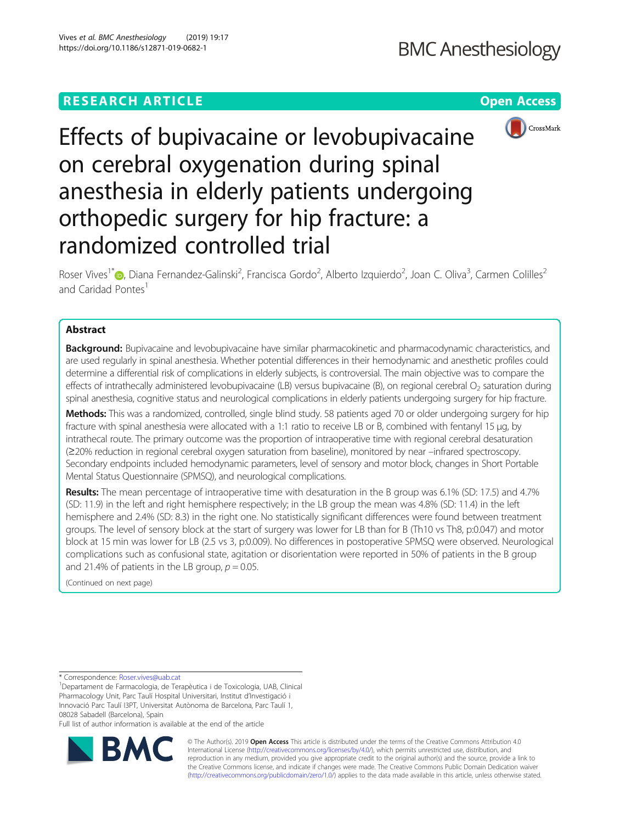# **RESEARCH ARTICLE Example 2014 CONSUMING A RESEARCH ARTICLE**



Effects of bupivacaine or levobupivacaine on cerebral oxygenation during spinal anesthesia in elderly patients undergoing orthopedic surgery for hip fracture: a randomized controlled trial

Roser Vives<sup>1[\\*](http://orcid.org/0000-0002-4369-778X)</sup>®, Diana Fernandez-Galinski<sup>2</sup>, Francisca Gordo<sup>2</sup>, Alberto Izquierdo<sup>2</sup>, Joan C. Oliva<sup>3</sup>, Carmen Colilles<sup>2</sup> and Caridad Pontes<sup>1</sup>

# Abstract

Background: Bupivacaine and levobupivacaine have similar pharmacokinetic and pharmacodynamic characteristics, and are used regularly in spinal anesthesia. Whether potential differences in their hemodynamic and anesthetic profiles could determine a differential risk of complications in elderly subjects, is controversial. The main objective was to compare the effects of intrathecally administered levobupivacaine (LB) versus bupivacaine (B), on regional cerebral  $O<sub>2</sub>$  saturation during spinal anesthesia, cognitive status and neurological complications in elderly patients undergoing surgery for hip fracture.

Methods: This was a randomized, controlled, single blind study. 58 patients aged 70 or older undergoing surgery for hip fracture with spinal anesthesia were allocated with a 1:1 ratio to receive LB or B, combined with fentanyl 15 μg, by intrathecal route. The primary outcome was the proportion of intraoperative time with regional cerebral desaturation (≥20% reduction in regional cerebral oxygen saturation from baseline), monitored by near –infrared spectroscopy. Secondary endpoints included hemodynamic parameters, level of sensory and motor block, changes in Short Portable Mental Status Questionnaire (SPMSQ), and neurological complications.

Results: The mean percentage of intraoperative time with desaturation in the B group was 6.1% (SD: 17.5) and 4.7% (SD: 11.9) in the left and right hemisphere respectively; in the LB group the mean was 4.8% (SD: 11.4) in the left hemisphere and 2.4% (SD: 8.3) in the right one. No statistically significant differences were found between treatment groups. The level of sensory block at the start of surgery was lower for LB than for B (Th10 vs Th8, p:0.047) and motor block at 15 min was lower for LB (2.5 vs 3, p:0.009). No differences in postoperative SPMSQ were observed. Neurological complications such as confusional state, agitation or disorientation were reported in 50% of patients in the B group and 21.4% of patients in the LB group,  $p = 0.05$ .

(Continued on next page)

\* Correspondence: [Roser.vives@uab.cat](mailto:Roser.vives@uab.cat) <sup>1</sup>

Departament de Farmacologia, de Terapèutica i de Toxicologia, UAB, Clinical Pharmacology Unit, Parc Taulí Hospital Universitari, Institut d'Investigació i Innovació Parc Taulí I3PT, Universitat Autònoma de Barcelona, Parc Taulí 1, 08028 Sabadell (Barcelona), Spain

Full list of author information is available at the end of the article



© The Author(s). 2019 **Open Access** This article is distributed under the terms of the Creative Commons Attribution 4.0 International License [\(http://creativecommons.org/licenses/by/4.0/](http://creativecommons.org/licenses/by/4.0/)), which permits unrestricted use, distribution, and reproduction in any medium, provided you give appropriate credit to the original author(s) and the source, provide a link to the Creative Commons license, and indicate if changes were made. The Creative Commons Public Domain Dedication waiver [\(http://creativecommons.org/publicdomain/zero/1.0/](http://creativecommons.org/publicdomain/zero/1.0/)) applies to the data made available in this article, unless otherwise stated.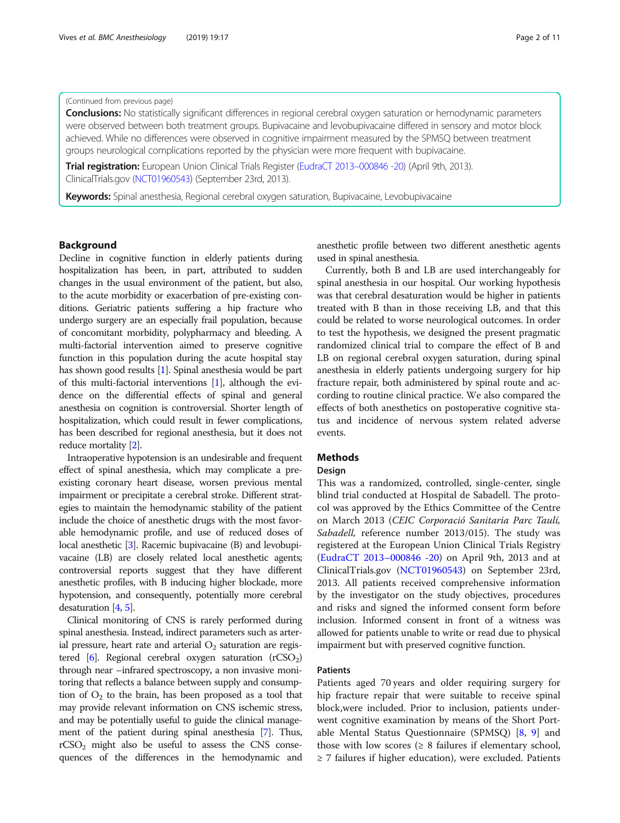### (Continued from previous page)

Conclusions: No statistically significant differences in regional cerebral oxygen saturation or hemodynamic parameters were observed between both treatment groups. Bupivacaine and levobupivacaine differed in sensory and motor block achieved. While no differences were observed in cognitive impairment measured by the SPMSQ between treatment groups neurological complications reported by the physician were more frequent with bupivacaine.

Trial registration: European Union Clinical Trials Register ([EudraCT 2013](https://www.clinicaltrialsregister.eu/ctr-search/trial/2013-000846-20/ES)-000846 -20) (April 9th, 2013). ClinicalTrials.gov ([NCT01960543\)](https://clinicaltrials.gov/ct2/show/NCT01960543?term=NCT01960543&rank=1) (September 23rd, 2013).

Keywords: Spinal anesthesia, Regional cerebral oxygen saturation, Bupivacaine, Levobupivacaine

### Background

Decline in cognitive function in elderly patients during hospitalization has been, in part, attributed to sudden changes in the usual environment of the patient, but also, to the acute morbidity or exacerbation of pre-existing conditions. Geriatric patients suffering a hip fracture who undergo surgery are an especially frail population, because of concomitant morbidity, polypharmacy and bleeding. A multi-factorial intervention aimed to preserve cognitive function in this population during the acute hospital stay has shown good results [\[1\]](#page-9-0). Spinal anesthesia would be part of this multi-factorial interventions [\[1\]](#page-9-0), although the evidence on the differential effects of spinal and general anesthesia on cognition is controversial. Shorter length of hospitalization, which could result in fewer complications, has been described for regional anesthesia, but it does not reduce mortality [[2](#page-9-0)].

Intraoperative hypotension is an undesirable and frequent effect of spinal anesthesia, which may complicate a preexisting coronary heart disease, worsen previous mental impairment or precipitate a cerebral stroke. Different strategies to maintain the hemodynamic stability of the patient include the choice of anesthetic drugs with the most favorable hemodynamic profile, and use of reduced doses of local anesthetic [\[3\]](#page-9-0). Racemic bupivacaine (B) and levobupivacaine (LB) are closely related local anesthetic agents; controversial reports suggest that they have different anesthetic profiles, with B inducing higher blockade, more hypotension, and consequently, potentially more cerebral desaturation [[4](#page-10-0), [5\]](#page-10-0).

Clinical monitoring of CNS is rarely performed during spinal anesthesia. Instead, indirect parameters such as arterial pressure, heart rate and arterial  $O_2$  saturation are registered  $[6]$ . Regional cerebral oxygen saturation (rCSO<sub>2</sub>) through near –infrared spectroscopy, a non invasive monitoring that reflects a balance between supply and consumption of  $O_2$  to the brain, has been proposed as a tool that may provide relevant information on CNS ischemic stress, and may be potentially useful to guide the clinical management of the patient during spinal anesthesia [\[7\]](#page-10-0). Thus,  $rCSO<sub>2</sub>$  might also be useful to assess the CNS consequences of the differences in the hemodynamic and anesthetic profile between two different anesthetic agents used in spinal anesthesia.

Currently, both B and LB are used interchangeably for spinal anesthesia in our hospital. Our working hypothesis was that cerebral desaturation would be higher in patients treated with B than in those receiving LB, and that this could be related to worse neurological outcomes. In order to test the hypothesis, we designed the present pragmatic randomized clinical trial to compare the effect of B and LB on regional cerebral oxygen saturation, during spinal anesthesia in elderly patients undergoing surgery for hip fracture repair, both administered by spinal route and according to routine clinical practice. We also compared the effects of both anesthetics on postoperative cognitive status and incidence of nervous system related adverse events.

### Methods

### Design

This was a randomized, controlled, single-center, single blind trial conducted at Hospital de Sabadell. The protocol was approved by the Ethics Committee of the Centre on March 2013 (CEIC Corporació Sanitaria Parc Taulí, Sabadell, reference number 2013/015). The study was registered at the European Union Clinical Trials Registry ([EudraCT 2013](https://www.clinicaltrialsregister.eu/ctr-search/trial/2013-000846-20/ES)–000846 -20) on April 9th, 2013 and at ClinicalTrials.gov [\(NCT01960543\)](https://clinicaltrials.gov/ct2/show/NCT01960543?term=NCT01960543&rank=1) on September 23rd, 2013. All patients received comprehensive information by the investigator on the study objectives, procedures and risks and signed the informed consent form before inclusion. Informed consent in front of a witness was allowed for patients unable to write or read due to physical impairment but with preserved cognitive function.

### Patients

Patients aged 70 years and older requiring surgery for hip fracture repair that were suitable to receive spinal block,were included. Prior to inclusion, patients underwent cognitive examination by means of the Short Portable Mental Status Questionnaire (SPMSQ) [[8,](#page-10-0) [9\]](#page-10-0) and those with low scores  $(≥ 8$  failures if elementary school, ≥ 7 failures if higher education), were excluded. Patients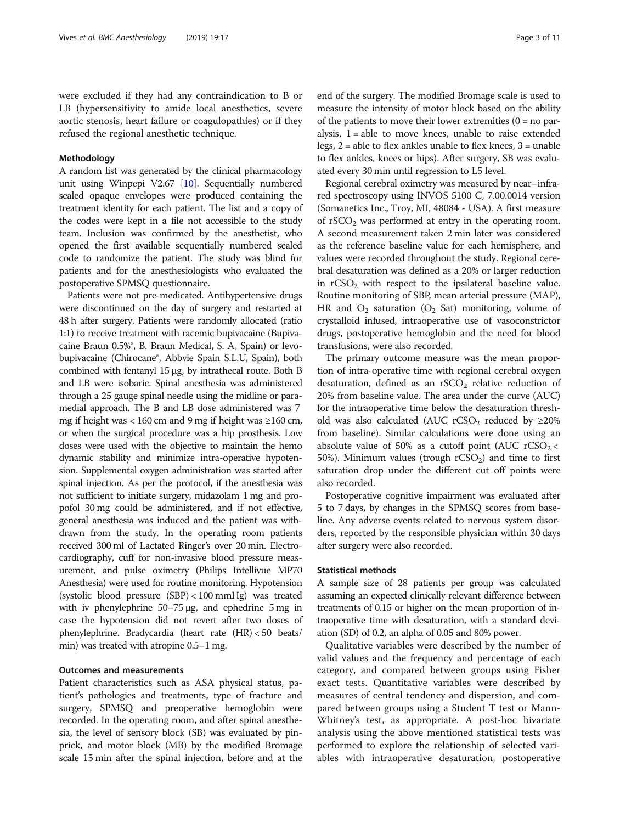were excluded if they had any contraindication to B or LB (hypersensitivity to amide local anesthetics, severe aortic stenosis, heart failure or coagulopathies) or if they refused the regional anesthetic technique.

### Methodology

A random list was generated by the clinical pharmacology unit using Winpepi V2.67 [\[10\]](#page-10-0). Sequentially numbered sealed opaque envelopes were produced containing the treatment identity for each patient. The list and a copy of the codes were kept in a file not accessible to the study team. Inclusion was confirmed by the anesthetist, who opened the first available sequentially numbered sealed code to randomize the patient. The study was blind for patients and for the anesthesiologists who evaluated the postoperative SPMSQ questionnaire.

Patients were not pre-medicated. Antihypertensive drugs were discontinued on the day of surgery and restarted at 48 h after surgery. Patients were randomly allocated (ratio 1:1) to receive treatment with racemic bupivacaine (Bupivacaine Braun 0.5%®, B. Braun Medical, S. A, Spain) or levobupivacaine (Chirocane®, Abbvie Spain S.L.U, Spain), both combined with fentanyl 15 μg, by intrathecal route. Both B and LB were isobaric. Spinal anesthesia was administered through a 25 gauge spinal needle using the midline or paramedial approach. The B and LB dose administered was 7 mg if height was < 160 cm and 9 mg if height was  $\geq$ 160 cm, or when the surgical procedure was a hip prosthesis. Low doses were used with the objective to maintain the hemo dynamic stability and minimize intra-operative hypotension. Supplemental oxygen administration was started after spinal injection. As per the protocol, if the anesthesia was not sufficient to initiate surgery, midazolam 1 mg and propofol 30 mg could be administered, and if not effective, general anesthesia was induced and the patient was withdrawn from the study. In the operating room patients received 300 ml of Lactated Ringer's over 20 min. Electrocardiography, cuff for non-invasive blood pressure measurement, and pulse oximetry (Philips Intellivue MP70 Anesthesia) were used for routine monitoring. Hypotension (systolic blood pressure (SBP) < 100 mmHg) was treated with iv phenylephrine 50–75 μg, and ephedrine 5 mg in case the hypotension did not revert after two doses of phenylephrine. Bradycardia (heart rate (HR) < 50 beats/ min) was treated with atropine 0.5–1 mg.

### Outcomes and measurements

Patient characteristics such as ASA physical status, patient's pathologies and treatments, type of fracture and surgery, SPMSQ and preoperative hemoglobin were recorded. In the operating room, and after spinal anesthesia, the level of sensory block (SB) was evaluated by pinprick, and motor block (MB) by the modified Bromage scale 15 min after the spinal injection, before and at the end of the surgery. The modified Bromage scale is used to measure the intensity of motor block based on the ability of the patients to move their lower extremities  $(0 = no par$ alysis, 1 = able to move knees, unable to raise extended legs, 2 = able to flex ankles unable to flex knees, 3 = unable to flex ankles, knees or hips). After surgery, SB was evaluated every 30 min until regression to L5 level.

Regional cerebral oximetry was measured by near–infrared spectroscopy using INVOS 5100 C, 7.00.0014 version (Somanetics Inc., Troy, MI, 48084 - USA). A first measure of  $rSCO<sub>2</sub>$  was performed at entry in the operating room. A second measurement taken 2 min later was considered as the reference baseline value for each hemisphere, and values were recorded throughout the study. Regional cerebral desaturation was defined as a 20% or larger reduction in  $rCSO<sub>2</sub>$  with respect to the ipsilateral baseline value. Routine monitoring of SBP, mean arterial pressure (MAP), HR and  $O_2$  saturation  $(O_2$  Sat) monitoring, volume of crystalloid infused, intraoperative use of vasoconstrictor drugs, postoperative hemoglobin and the need for blood transfusions, were also recorded.

The primary outcome measure was the mean proportion of intra-operative time with regional cerebral oxygen desaturation, defined as an  $rSCO<sub>2</sub>$  relative reduction of 20% from baseline value. The area under the curve (AUC) for the intraoperative time below the desaturation threshold was also calculated (AUC rCSO<sub>2</sub> reduced by  $\geq 20\%$ from baseline). Similar calculations were done using an absolute value of 50% as a cutoff point (AUC  $rCSO<sub>2</sub>$ ) 50%). Minimum values (trough  $rCSO<sub>2</sub>$ ) and time to first saturation drop under the different cut off points were also recorded.

Postoperative cognitive impairment was evaluated after 5 to 7 days, by changes in the SPMSQ scores from baseline. Any adverse events related to nervous system disorders, reported by the responsible physician within 30 days after surgery were also recorded.

### Statistical methods

A sample size of 28 patients per group was calculated assuming an expected clinically relevant difference between treatments of 0.15 or higher on the mean proportion of intraoperative time with desaturation, with a standard deviation (SD) of 0.2, an alpha of 0.05 and 80% power.

Qualitative variables were described by the number of valid values and the frequency and percentage of each category, and compared between groups using Fisher exact tests. Quantitative variables were described by measures of central tendency and dispersion, and compared between groups using a Student T test or Mann-Whitney's test, as appropriate. A post-hoc bivariate analysis using the above mentioned statistical tests was performed to explore the relationship of selected variables with intraoperative desaturation, postoperative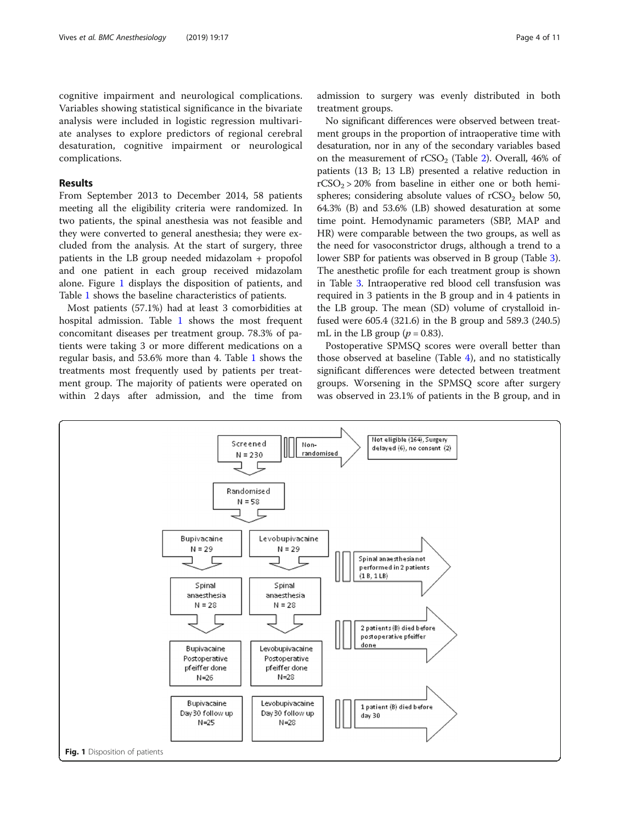cognitive impairment and neurological complications. Variables showing statistical significance in the bivariate analysis were included in logistic regression multivariate analyses to explore predictors of regional cerebral desaturation, cognitive impairment or neurological complications.

### Results

From September 2013 to December 2014, 58 patients meeting all the eligibility criteria were randomized. In two patients, the spinal anesthesia was not feasible and they were converted to general anesthesia; they were excluded from the analysis. At the start of surgery, three patients in the LB group needed midazolam + propofol and one patient in each group received midazolam alone. Figure 1 displays the disposition of patients, and Table [1](#page-4-0) shows the baseline characteristics of patients.

Most patients (57.1%) had at least 3 comorbidities at hospital admission. Table [1](#page-4-0) shows the most frequent concomitant diseases per treatment group. 78.3% of patients were taking 3 or more different medications on a regular basis, and 53.6% more than 4. Table [1](#page-4-0) shows the treatments most frequently used by patients per treatment group. The majority of patients were operated on within 2 days after admission, and the time from

admission to surgery was evenly distributed in both treatment groups.

No significant differences were observed between treatment groups in the proportion of intraoperative time with desaturation, nor in any of the secondary variables based on the measurement of  $rCSO<sub>2</sub>$  $rCSO<sub>2</sub>$  $rCSO<sub>2</sub>$  (Table 2). Overall, 46% of patients (13 B; 13 LB) presented a relative reduction in  $rCSO<sub>2</sub> > 20%$  from baseline in either one or both hemispheres; considering absolute values of  $rCSO<sub>2</sub>$  below 50, 64.3% (B) and 53.6% (LB) showed desaturation at some time point. Hemodynamic parameters (SBP, MAP and HR) were comparable between the two groups, as well as the need for vasoconstrictor drugs, although a trend to a lower SBP for patients was observed in B group (Table [3](#page-7-0)). The anesthetic profile for each treatment group is shown in Table [3](#page-7-0). Intraoperative red blood cell transfusion was required in 3 patients in the B group and in 4 patients in the LB group. The mean (SD) volume of crystalloid infused were 605.4 (321.6) in the B group and 589.3 (240.5) mL in the LB group ( $p = 0.83$ ).

Postoperative SPMSQ scores were overall better than those observed at baseline (Table [4\)](#page-7-0), and no statistically significant differences were detected between treatment groups. Worsening in the SPMSQ score after surgery was observed in 23.1% of patients in the B group, and in

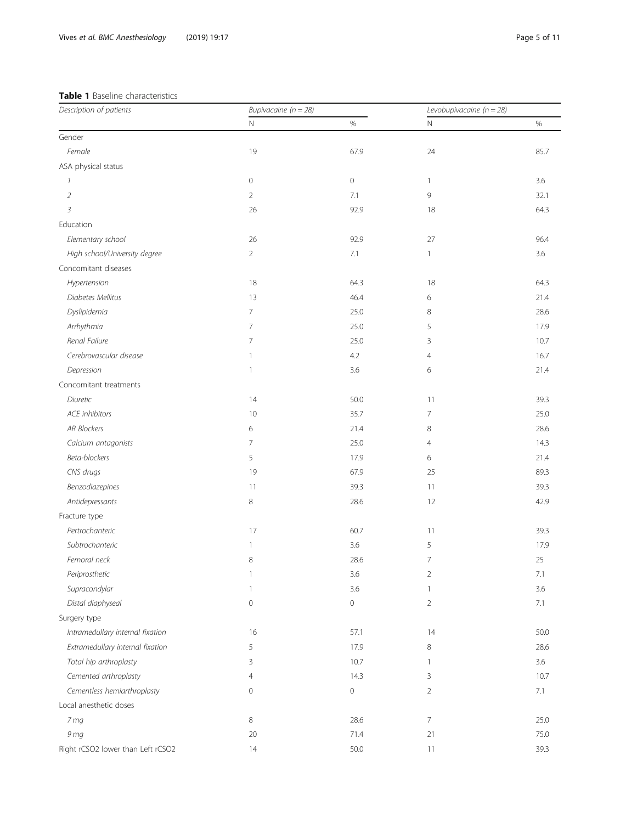## <span id="page-4-0"></span>Table 1 Baseline characteristics

| Description of patients           | Bupivacaine ( $n = 28$ ) |                     | Levobupivacaine ( $n = 28$ ) |         |  |
|-----------------------------------|--------------------------|---------------------|------------------------------|---------|--|
|                                   | $\mathsf{N}$             | $\%$                | $\mathbb N$                  | $\%$    |  |
| Gender                            |                          |                     |                              |         |  |
| Female                            | 19                       | 67.9                | 24                           | 85.7    |  |
| ASA physical status               |                          |                     |                              |         |  |
| $\mathcal{I}$                     | $\mathbf 0$              | $\circ$             | $\mathbf{1}$                 | 3.6     |  |
| $\overline{2}$                    | $\overline{2}$           | 7.1                 | 9                            | 32.1    |  |
| $\mathfrak{Z}$                    | 26                       | 92.9                | 18                           | 64.3    |  |
| Education                         |                          |                     |                              |         |  |
| Elementary school                 | 26                       | 92.9                | 27                           | 96.4    |  |
| High school/University degree     | $\overline{2}$           | 7.1                 | $\mathbf{1}$                 | 3.6     |  |
| Concomitant diseases              |                          |                     |                              |         |  |
| Hypertension                      | 18                       | 64.3                | 18                           | 64.3    |  |
| Diabetes Mellitus                 | 13                       | 46.4                | 6                            | 21.4    |  |
| Dyslipidemia                      | $\overline{7}$           | 25.0                | 8                            | 28.6    |  |
| Arrhythmia                        | 7                        | 25.0                | 5                            | 17.9    |  |
| Renal Failure                     | $\overline{7}$           | 25.0                | 3                            | 10.7    |  |
| Cerebrovascular disease           | $\mathbf{1}$             | 4.2                 | $\overline{4}$               | 16.7    |  |
| Depression                        | 1                        | 3.6                 | 6                            | 21.4    |  |
| Concomitant treatments            |                          |                     |                              |         |  |
| Diuretic                          | 14                       | 50.0                | 11                           | 39.3    |  |
| <b>ACE</b> inhibitors             | 10                       | 35.7                | 7                            | 25.0    |  |
| <b>AR Blockers</b>                | 6                        | 21.4                | 8                            | 28.6    |  |
| Calcium antagonists               | 7                        | 25.0                | $\overline{4}$               | 14.3    |  |
| Beta-blockers                     | 5                        | 17.9                | 6                            | 21.4    |  |
| CNS drugs                         | 19                       | 67.9                | 25                           | 89.3    |  |
| Benzodiazepines                   | 11                       | 39.3                | 11                           | 39.3    |  |
| Antidepressants                   | 8                        | 28.6                | 12                           | 42.9    |  |
| Fracture type                     |                          |                     |                              |         |  |
| Pertrochanteric                   | 17                       | 60.7                | 11                           | 39.3    |  |
| Subtrochanteric                   | 1                        | 3.6                 | 5                            | 17.9    |  |
| Femoral neck                      | 8                        | 28.6                | $\overline{7}$               | 25      |  |
| Periprosthetic                    | 1                        | 3.6                 | $\overline{2}$               | $7.1\,$ |  |
| Supracondylar                     | 1                        | 3.6                 | $\mathbf{1}$                 | 3.6     |  |
| Distal diaphyseal                 | $\mathbf 0$              | $\mathsf{O}\xspace$ | $\overline{2}$               | 7.1     |  |
| Surgery type                      |                          |                     |                              |         |  |
| Intramedullary internal fixation  | 16                       | 57.1                | 14                           | 50.0    |  |
| Extramedullary internal fixation  | 5                        | 17.9                | 8                            | 28.6    |  |
| Total hip arthroplasty            | 3                        | 10.7                | 1                            | 3.6     |  |
| Cemented arthroplasty             | 4                        | 14.3                | 3                            | 10.7    |  |
| Cementless hemiarthroplasty       | $\mathbf 0$              | 0                   | $\overline{2}$               | 7.1     |  |
| Local anesthetic doses            |                          |                     |                              |         |  |
| 7 mg                              | 8                        | 28.6                | $\overline{7}$               | 25.0    |  |
| 9 mg                              | $20\,$                   | 71.4                | 21                           | 75.0    |  |
| Right rCSO2 lower than Left rCSO2 | 14                       | 50.0                | 11                           | 39.3    |  |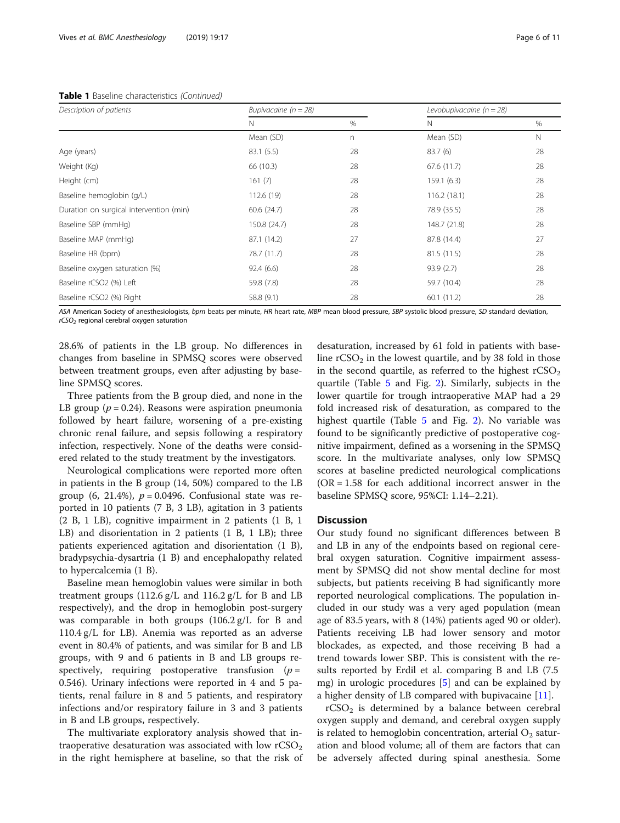### Table 1 Baseline characteristics (Continued)

|                                         | N            | $\%$ | N            | %  |  |
|-----------------------------------------|--------------|------|--------------|----|--|
|                                         | Mean (SD)    | n    | Mean (SD)    | N  |  |
| Age (years)                             | 83.1 (5.5)   | 28   | 83.7(6)      | 28 |  |
| Weight (Kg)                             | 66 (10.3)    | 28   | 67.6(11.7)   | 28 |  |
| Height (cm)                             | 161(7)       | 28   | 159.1(6.3)   | 28 |  |
| Baseline hemoglobin (g/L)               | 112.6 (19)   | 28   | 116.2(18.1)  | 28 |  |
| Duration on surgical intervention (min) | 60.6(24.7)   | 28   | 78.9 (35.5)  | 28 |  |
| Baseline SBP (mmHg)                     | 150.8 (24.7) | 28   | 148.7 (21.8) | 28 |  |
| Baseline MAP (mmHg)                     | 87.1 (14.2)  | 27   | 87.8 (14.4)  | 27 |  |
| Baseline HR (bpm)                       | 78.7 (11.7)  | 28   | 81.5(11.5)   | 28 |  |
| Baseline oxygen saturation (%)          | 92.4(6.6)    | 28   | 93.9(2.7)    | 28 |  |
| Baseline rCSO2 (%) Left                 | 59.8 (7.8)   | 28   | 59.7 (10.4)  | 28 |  |
| Baseline rCSO2 (%) Right                | 58.8 (9.1)   | 28   | 60.1(11.2)   | 28 |  |

ASA American Society of anesthesiologists, bpm beats per minute, HR heart rate, MBP mean blood pressure, SBP systolic blood pressure, SD standard deviation,  $rCSO<sub>2</sub>$  regional cerebral oxygen saturation

28.6% of patients in the LB group. No differences in changes from baseline in SPMSQ scores were observed between treatment groups, even after adjusting by baseline SPMSQ scores.

Three patients from the B group died, and none in the LB group ( $p = 0.24$ ). Reasons were aspiration pneumonia followed by heart failure, worsening of a pre-existing chronic renal failure, and sepsis following a respiratory infection, respectively. None of the deaths were considered related to the study treatment by the investigators.

Neurological complications were reported more often in patients in the B group (14, 50%) compared to the LB group  $(6, 21.4\%)$ ,  $p = 0.0496$ . Confusional state was reported in 10 patients (7 B, 3 LB), agitation in 3 patients (2 B, 1 LB), cognitive impairment in 2 patients (1 B, 1 LB) and disorientation in 2 patients (1 B, 1 LB); three patients experienced agitation and disorientation (1 B), bradypsychia-dysartria (1 B) and encephalopathy related to hypercalcemia (1 B).

Baseline mean hemoglobin values were similar in both treatment groups (112.6 g/L and 116.2 g/L for B and LB respectively), and the drop in hemoglobin post-surgery was comparable in both groups (106.2 g/L for B and 110.4 g/L for LB). Anemia was reported as an adverse event in 80.4% of patients, and was similar for B and LB groups, with 9 and 6 patients in B and LB groups respectively, requiring postoperative transfusion  $(p =$ 0.546). Urinary infections were reported in 4 and 5 patients, renal failure in 8 and 5 patients, and respiratory infections and/or respiratory failure in 3 and 3 patients in B and LB groups, respectively.

The multivariate exploratory analysis showed that intraoperative desaturation was associated with low  $rCSO<sub>2</sub>$ in the right hemisphere at baseline, so that the risk of

desaturation, increased by 61 fold in patients with baseline  $rCSO<sub>2</sub>$  in the lowest quartile, and by 38 fold in those in the second quartile, as referred to the highest  $rCSO<sub>2</sub>$ quartile (Table [5](#page-8-0) and Fig. [2](#page-8-0)). Similarly, subjects in the lower quartile for trough intraoperative MAP had a 29 fold increased risk of desaturation, as compared to the highest quartile (Table [5](#page-8-0) and Fig. [2](#page-8-0)). No variable was found to be significantly predictive of postoperative cognitive impairment, defined as a worsening in the SPMSQ score. In the multivariate analyses, only low SPMSQ scores at baseline predicted neurological complications  $(OR = 1.58$  for each additional incorrect answer in the baseline SPMSQ score, 95%CI: 1.14–2.21).

### **Discussion**

Our study found no significant differences between B and LB in any of the endpoints based on regional cerebral oxygen saturation. Cognitive impairment assessment by SPMSQ did not show mental decline for most subjects, but patients receiving B had significantly more reported neurological complications. The population included in our study was a very aged population (mean age of 83.5 years, with 8 (14%) patients aged 90 or older). Patients receiving LB had lower sensory and motor blockades, as expected, and those receiving B had a trend towards lower SBP. This is consistent with the results reported by Erdil et al. comparing B and LB (7.5 mg) in urologic procedures [\[5](#page-10-0)] and can be explained by a higher density of LB compared with bupivacaine [[11\]](#page-10-0).

 $rCSO<sub>2</sub>$  is determined by a balance between cerebral oxygen supply and demand, and cerebral oxygen supply is related to hemoglobin concentration, arterial  $O_2$  saturation and blood volume; all of them are factors that can be adversely affected during spinal anesthesia. Some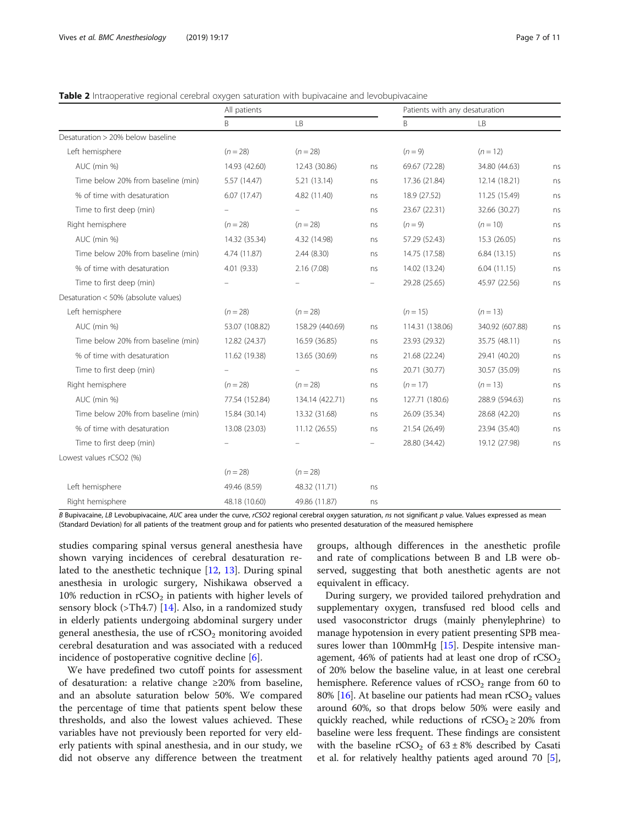### <span id="page-6-0"></span>**Table 2** Intraoperative regional cerebral oxygen saturation with bupivacaine and levobupivacaine

|                                      | All patients   |                 |    | Patients with any desaturation |                 |    |
|--------------------------------------|----------------|-----------------|----|--------------------------------|-----------------|----|
|                                      | B              | LB              |    | B                              | LB              |    |
| Desaturation > 20% below baseline    |                |                 |    |                                |                 |    |
| Left hemisphere                      | $(n = 28)$     | $(n = 28)$      |    | $(n = 9)$                      | $(n = 12)$      |    |
| AUC (min %)                          | 14.93 (42.60)  | 12.43 (30.86)   | ns | 69.67 (72.28)                  | 34.80 (44.63)   | ns |
| Time below 20% from baseline (min)   | 5.57 (14.47)   | 5.21 (13.14)    | ns | 17.36 (21.84)                  | 12.14 (18.21)   | ns |
| % of time with desaturation          | 6.07(17.47)    | 4.82 (11.40)    | ns | 18.9 (27.52)                   | 11.25 (15.49)   | ns |
| Time to first deep (min)             |                |                 | ns | 23.67 (22.31)                  | 32.66 (30.27)   | ns |
| Right hemisphere                     | $(n = 28)$     | $(n = 28)$      | ns | $(n = 9)$                      | $(n = 10)$      | ns |
| AUC (min %)                          | 14.32 (35.34)  | 4.32 (14.98)    | ns | 57.29 (52.43)                  | 15.3 (26.05)    | ns |
| Time below 20% from baseline (min)   | 4.74 (11.87)   | 2.44(8.30)      | ns | 14.75 (17.58)                  | 6.84(13.15)     | ns |
| % of time with desaturation          | 4.01 (9.33)    | 2.16(7.08)      | ns | 14.02 (13.24)                  | 6.04(11.15)     | ns |
| Time to first deep (min)             |                |                 |    | 29.28 (25.65)                  | 45.97 (22.56)   | ns |
| Desaturation < 50% (absolute values) |                |                 |    |                                |                 |    |
| Left hemisphere                      | $(n = 28)$     | $(n = 28)$      |    | $(n = 15)$                     | $(n = 13)$      |    |
| AUC (min %)                          | 53.07 (108.82) | 158.29 (440.69) | ns | 114.31 (138.06)                | 340.92 (607.88) | ns |
| Time below 20% from baseline (min)   | 12.82 (24.37)  | 16.59 (36.85)   | ns | 23.93 (29.32)                  | 35.75 (48.11)   | ns |
| % of time with desaturation          | 11.62 (19.38)  | 13.65 (30.69)   | ns | 21.68 (22.24)                  | 29.41 (40.20)   | ns |
| Time to first deep (min)             |                |                 | ns | 20.71 (30.77)                  | 30.57 (35.09)   | ns |
| Right hemisphere                     | $(n = 28)$     | $(n = 28)$      | ns | $(n = 17)$                     | $(n = 13)$      | ns |
| AUC (min %)                          | 77.54 (152.84) | 134.14 (422.71) | ns | 127.71 (180.6)                 | 288.9 (594.63)  | ns |
| Time below 20% from baseline (min)   | 15.84 (30.14)  | 13.32 (31.68)   | ns | 26.09 (35.34)                  | 28.68 (42.20)   | ns |
| % of time with desaturation          | 13.08 (23.03)  | 11.12 (26.55)   | ns | 21.54 (26,49)                  | 23.94 (35.40)   | ns |
| Time to first deep (min)             |                |                 |    | 28.80 (34.42)                  | 19.12 (27.98)   | ns |
| Lowest values rCSO2 (%)              |                |                 |    |                                |                 |    |
|                                      | $(n = 28)$     | $(n = 28)$      |    |                                |                 |    |
| Left hemisphere                      | 49.46 (8.59)   | 48.32 (11.71)   | ns |                                |                 |    |
| Right hemisphere                     | 48.18 (10.60)  | 49.86 (11.87)   | ns |                                |                 |    |

B Bupivacaine, LB Levobupivacaine, AUC area under the curve, rCSO2 regional cerebral oxygen saturation, ns not significant p value. Values expressed as mean (Standard Deviation) for all patients of the treatment group and for patients who presented desaturation of the measured hemisphere

studies comparing spinal versus general anesthesia have shown varying incidences of cerebral desaturation related to the anesthetic technique [[12,](#page-10-0) [13](#page-10-0)]. During spinal anesthesia in urologic surgery, Nishikawa observed a 10% reduction in  $rCSO<sub>2</sub>$  in patients with higher levels of sensory block (>Th4.7) [[14\]](#page-10-0). Also, in a randomized study in elderly patients undergoing abdominal surgery under general anesthesia, the use of  $rCSO<sub>2</sub>$  monitoring avoided cerebral desaturation and was associated with a reduced incidence of postoperative cognitive decline [[6\]](#page-10-0).

We have predefined two cutoff points for assessment of desaturation: a relative change ≥20% from baseline, and an absolute saturation below 50%. We compared the percentage of time that patients spent below these thresholds, and also the lowest values achieved. These variables have not previously been reported for very elderly patients with spinal anesthesia, and in our study, we did not observe any difference between the treatment groups, although differences in the anesthetic profile and rate of complications between B and LB were observed, suggesting that both anesthetic agents are not equivalent in efficacy.

During surgery, we provided tailored prehydration and supplementary oxygen, transfused red blood cells and used vasoconstrictor drugs (mainly phenylephrine) to manage hypotension in every patient presenting SPB mea-sures lower than 100mmHg [\[15\]](#page-10-0). Despite intensive management,  $46\%$  of patients had at least one drop of  $rCSO<sub>2</sub>$ of 20% below the baseline value, in at least one cerebral hemisphere. Reference values of  $rCSO<sub>2</sub>$  range from 60 to 80%  $[16]$ . At baseline our patients had mean rCSO<sub>2</sub> values around 60%, so that drops below 50% were easily and quickly reached, while reductions of  $rCSO<sub>2</sub> \ge 20%$  from baseline were less frequent. These findings are consistent with the baseline  $rCSO<sub>2</sub>$  of 63 ± 8% described by Casati et al. for relatively healthy patients aged around 70 [[5](#page-10-0)],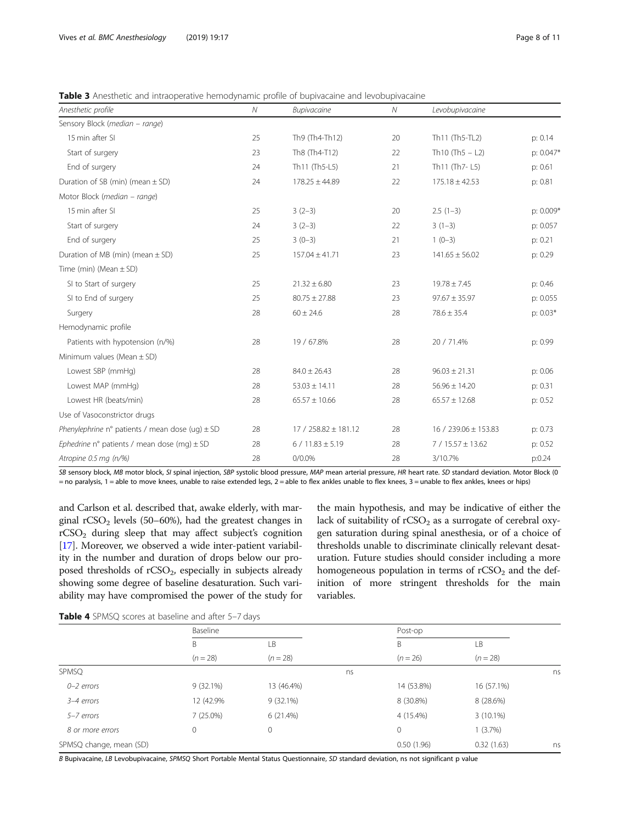<span id="page-7-0"></span>

| <b>Table 3</b> Anesthetic and intraoperative hemodynamic profile of bupivacaine and levobupivacaine |  |  |  |
|-----------------------------------------------------------------------------------------------------|--|--|--|
|                                                                                                     |  |  |  |

| Anesthetic profile                                  | $\mathcal N$ | <b>Bupivacaine</b>     | ${\cal N}$ | Levobupivacaine      |            |
|-----------------------------------------------------|--------------|------------------------|------------|----------------------|------------|
| Sensory Block (median - range)                      |              |                        |            |                      |            |
| 15 min after SI                                     | 25           | Th9 (Th4-Th12)         | 20         | Th11 (Th5-TL2)       | p: 0.14    |
| Start of surgery                                    | 23           | Th8 (Th4-T12)          | 22         | Th10 $(Th5 - L2)$    | p: 0.047*  |
| End of surgery                                      | 24           | Th11 (Th5-L5)          | 21         | Th11 (Th7-L5)        | p: 0.61    |
| Duration of SB (min) (mean $\pm$ SD)                | 24           | $178.25 \pm 44.89$     | 22         | $175.18 \pm 42.53$   | p: 0.81    |
| Motor Block (median – range)                        |              |                        |            |                      |            |
| 15 min after SI                                     | 25           | $3(2-3)$               | 20         | $2.5(1-3)$           | p: 0.009*  |
| Start of surgery                                    | 24           | $3(2-3)$               | 22         | $3(1-3)$             | p: 0.057   |
| End of surgery                                      | 25           | $3(0-3)$               | 21         | $1(0-3)$             | p: 0.21    |
| Duration of MB (min) (mean $\pm$ SD)                | 25           | $157.04 \pm 41.71$     | 23         | $141.65 \pm 56.02$   | p: 0.29    |
| Time (min) (Mean $\pm$ SD)                          |              |                        |            |                      |            |
| SI to Start of surgery                              | 25           | $21.32 \pm 6.80$       | 23         | $19.78 \pm 7.45$     | p: 0.46    |
| SI to End of surgery                                | 25           | $80.75 \pm 27.88$      | 23         | $97.67 \pm 35.97$    | p: 0.055   |
| Surgery                                             | 28           | $60 \pm 24.6$          | 28         | $78.6 \pm 35.4$      | $p: 0.03*$ |
| Hemodynamic profile                                 |              |                        |            |                      |            |
| Patients with hypotension (n/%)                     | 28           | 19 / 67.8%             | 28         | 20 / 71.4%           | p: 0.99    |
| Minimum values (Mean $\pm$ SD)                      |              |                        |            |                      |            |
| Lowest SBP (mmHg)                                   | 28           | $84.0 \pm 26.43$       | 28         | $96.03 \pm 21.31$    | p: 0.06    |
| Lowest MAP (mmHg)                                   | 28           | $53.03 \pm 14.11$      | 28         | $56.96 \pm 14.20$    | p: 0.31    |
| Lowest HR (beats/min)                               | 28           | $65.57 \pm 10.66$      | 28         | $65.57 \pm 12.68$    | p: 0.52    |
| Use of Vasoconstrictor drugs                        |              |                        |            |                      |            |
| Phenylephrine n° patients / mean dose (uq) $\pm$ SD | 28           | $17/258.82 \pm 181.12$ | 28         | 16 / 239.06 ± 153.83 | p: 0.73    |
| Ephedrine n° patients / mean dose (mq) $\pm$ SD     | 28           | $6/11.83 \pm 5.19$     | 28         | $7/15.57 \pm 13.62$  | p: 0.52    |
| Atropine 0.5 mg (n/%)                               | 28           | $0/0.0\%$              | 28         | 3/10.7%              | p:0.24     |

SB sensory block, MB motor block, SI spinal injection, SBP systolic blood pressure, MAP mean arterial pressure, HR heart rate. SD standard deviation. Motor Block (0 = no paralysis, 1 = able to move knees, unable to raise extended legs, 2 = able to flex ankles unable to flex knees, 3 = unable to flex ankles, knees or hips)

and Carlson et al. described that, awake elderly, with marginal  $rCSO<sub>2</sub>$  levels (50–60%), had the greatest changes in rCSO2 during sleep that may affect subject's cognition [[17](#page-10-0)]. Moreover, we observed a wide inter-patient variability in the number and duration of drops below our proposed thresholds of rCSO<sub>2</sub>, especially in subjects already showing some degree of baseline desaturation. Such variability may have compromised the power of the study for

the main hypothesis, and may be indicative of either the lack of suitability of  $rCSO<sub>2</sub>$  as a surrogate of cerebral oxygen saturation during spinal anesthesia, or of a choice of thresholds unable to discriminate clinically relevant desaturation. Future studies should consider including a more homogeneous population in terms of  $rCSO<sub>2</sub>$  and the definition of more stringent thresholds for the main variables.

| Table 4 SPMSQ scores at baseline and after 5-7 days |  |
|-----------------------------------------------------|--|
|-----------------------------------------------------|--|

|                         | Baseline                 |             |    | Post-op     |             |    |
|-------------------------|--------------------------|-------------|----|-------------|-------------|----|
|                         | B                        | LB          |    | B           | LB          |    |
|                         | $(n = 28)$<br>$(n = 28)$ |             |    | $(n = 26)$  | $(n = 28)$  |    |
| SPMSQ                   |                          |             | ns |             |             | ns |
| $0 - 2$ errors          | $9(32.1\%)$              | 13 (46.4%)  |    | 14 (53.8%)  | 16 (57.1%)  |    |
| 3-4 errors              | 12 (42.9%)               | $9(32.1\%)$ |    | 8 (30.8%)   | 8 (28.6%)   |    |
| 5-7 errors              | $7(25.0\%)$              | 6(21.4%)    |    | 4 (15.4%)   | $3(10.1\%)$ |    |
| 8 or more errors        | 0                        | $\circ$     |    | $\mathbf 0$ | 1(3.7%)     |    |
| SPMSQ change, mean (SD) |                          |             |    | 0.50(1.96)  | 0.32(1.63)  | ns |

B Bupivacaine, LB Levobupivacaine, SPMSQ Short Portable Mental Status Questionnaire, SD standard deviation, ns not significant p value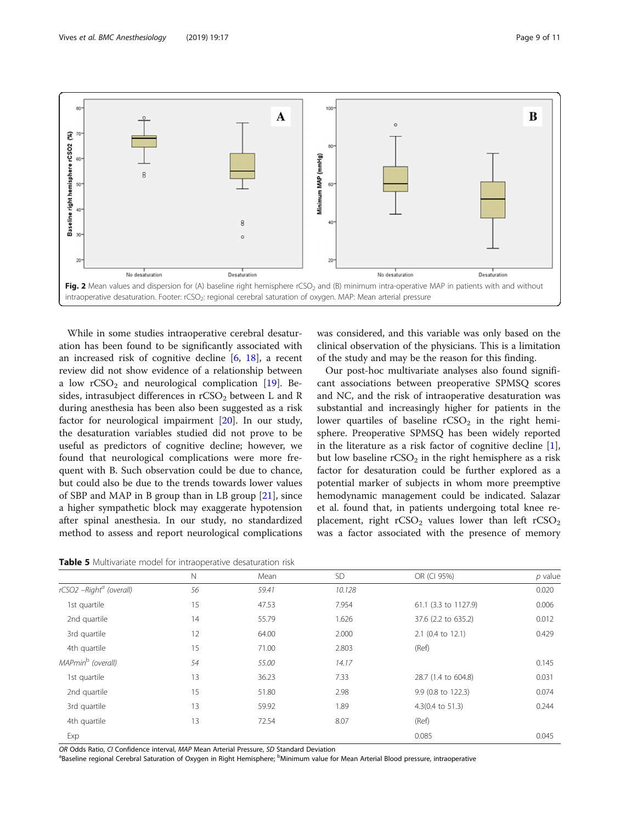<span id="page-8-0"></span>

While in some studies intraoperative cerebral desaturation has been found to be significantly associated with an increased risk of cognitive decline  $[6, 18]$  $[6, 18]$  $[6, 18]$  $[6, 18]$ , a recent review did not show evidence of a relationship between a low  $rCSO<sub>2</sub>$  and neurological complication [\[19](#page-10-0)]. Besides, intrasubject differences in  $rCSO<sub>2</sub>$  between L and R during anesthesia has been also been suggested as a risk factor for neurological impairment [\[20](#page-10-0)]. In our study, the desaturation variables studied did not prove to be useful as predictors of cognitive decline; however, we found that neurological complications were more frequent with B. Such observation could be due to chance, but could also be due to the trends towards lower values of SBP and MAP in B group than in LB group [[21\]](#page-10-0), since a higher sympathetic block may exaggerate hypotension after spinal anesthesia. In our study, no standardized method to assess and report neurological complications

Table 5 Multivariate model for intraoperative desaturation risk

was considered, and this variable was only based on the clinical observation of the physicians. This is a limitation of the study and may be the reason for this finding.

Our post-hoc multivariate analyses also found significant associations between preoperative SPMSQ scores and NC, and the risk of intraoperative desaturation was substantial and increasingly higher for patients in the lower quartiles of baseline  $rCSO<sub>2</sub>$  in the right hemisphere. Preoperative SPMSQ has been widely reported in the literature as a risk factor of cognitive decline [\[1](#page-9-0)], but low baseline  $rCSO<sub>2</sub>$  in the right hemisphere as a risk factor for desaturation could be further explored as a potential marker of subjects in whom more preemptive hemodynamic management could be indicated. Salazar et al. found that, in patients undergoing total knee replacement, right  $rCSO<sub>2</sub>$  values lower than left  $rCSO<sub>2</sub>$ was a factor associated with the presence of memory

|                                     | . .         |       |        |                      |           |
|-------------------------------------|-------------|-------|--------|----------------------|-----------|
|                                     | $\mathbb N$ | Mean  | SD     | OR (CI 95%)          | $p$ value |
| rCSO2 -Right <sup>a</sup> (overall) | 56          | 59.41 | 10.128 |                      | 0.020     |
| 1st quartile                        | 15          | 47.53 | 7.954  | 61.1 (3.3 to 1127.9) | 0.006     |
| 2nd quartile                        | 14          | 55.79 | 1.626  | 37.6 (2.2 to 635.2)  | 0.012     |
| 3rd quartile                        | 12          | 64.00 | 2.000  | 2.1 (0.4 to 12.1)    | 0.429     |
| 4th quartile                        | 15          | 71.00 | 2.803  | (Ref)                |           |
| MAPmin <sup>b</sup> (overall)       | 54          | 55.00 | 14.17  |                      | 0.145     |
| 1st quartile                        | 13          | 36.23 | 7.33   | 28.7 (1.4 to 604.8)  | 0.031     |
| 2nd quartile                        | 15          | 51.80 | 2.98   | 9.9 (0.8 to 122.3)   | 0.074     |
| 3rd quartile                        | 13          | 59.92 | 1.89   | 4.3(0.4 to 51.3)     | 0.244     |
| 4th quartile                        | 13          | 72.54 | 8.07   | (Ref)                |           |
| Exp                                 |             |       |        | 0.085                | 0.045     |
|                                     |             |       |        |                      |           |

OR Odds Ratio, CI Confidence interval, MAP Mean Arterial Pressure, SD Standard Deviation

Baseline regional Cerebral Saturation of Oxygen in Right Hemisphere; <sup>b</sup>Minimum value for Mean Arterial Blood pressure, intraoperative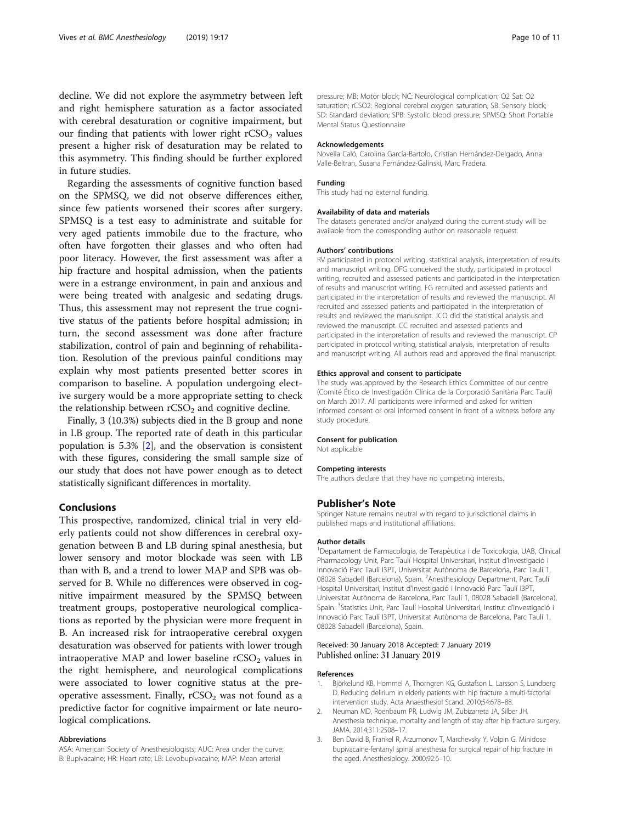<span id="page-9-0"></span>decline. We did not explore the asymmetry between left and right hemisphere saturation as a factor associated with cerebral desaturation or cognitive impairment, but our finding that patients with lower right  $rCSO<sub>2</sub>$  values present a higher risk of desaturation may be related to this asymmetry. This finding should be further explored in future studies.

Regarding the assessments of cognitive function based on the SPMSQ, we did not observe differences either, since few patients worsened their scores after surgery. SPMSQ is a test easy to administrate and suitable for very aged patients immobile due to the fracture, who often have forgotten their glasses and who often had poor literacy. However, the first assessment was after a hip fracture and hospital admission, when the patients were in a estrange environment, in pain and anxious and were being treated with analgesic and sedating drugs. Thus, this assessment may not represent the true cognitive status of the patients before hospital admission; in turn, the second assessment was done after fracture stabilization, control of pain and beginning of rehabilitation. Resolution of the previous painful conditions may explain why most patients presented better scores in comparison to baseline. A population undergoing elective surgery would be a more appropriate setting to check the relationship between  $rCSO<sub>2</sub>$  and cognitive decline.

Finally, 3 (10.3%) subjects died in the B group and none in LB group. The reported rate of death in this particular population is 5.3% [2], and the observation is consistent with these figures, considering the small sample size of our study that does not have power enough as to detect statistically significant differences in mortality.

### Conclusions

This prospective, randomized, clinical trial in very elderly patients could not show differences in cerebral oxygenation between B and LB during spinal anesthesia, but lower sensory and motor blockade was seen with LB than with B, and a trend to lower MAP and SPB was observed for B. While no differences were observed in cognitive impairment measured by the SPMSQ between treatment groups, postoperative neurological complications as reported by the physician were more frequent in B. An increased risk for intraoperative cerebral oxygen desaturation was observed for patients with lower trough intraoperative MAP and lower baseline  $rCSO<sub>2</sub>$  values in the right hemisphere, and neurological complications were associated to lower cognitive status at the preoperative assessment. Finally,  $rCSO<sub>2</sub>$  was not found as a predictive factor for cognitive impairment or late neurological complications.

#### Abbreviations

ASA: American Society of Anesthesiologists; AUC: Area under the curve; B: Bupivacaine; HR: Heart rate; LB: Levobupivacaine; MAP: Mean arterial

pressure; MB: Motor block; NC: Neurological complication; O2 Sat: O2 saturation; rCSO2: Regional cerebral oxygen saturation; SB: Sensory block; SD: Standard deviation; SPB: Systolic blood pressure; SPMSQ: Short Portable Mental Status Questionnaire

#### Acknowledgements

Novella Caló, Carolina García-Bartolo, Cristian Hernández-Delgado, Anna Valle-Beltran, Susana Fernández-Galinski, Marc Fradera.

#### Funding

This study had no external funding.

### Availability of data and materials

The datasets generated and/or analyzed during the current study will be available from the corresponding author on reasonable request.

#### Authors' contributions

RV participated in protocol writing, statistical analysis, interpretation of results and manuscript writing. DFG conceived the study, participated in protocol writing, recruited and assessed patients and participated in the interpretation of results and manuscript writing. FG recruited and assessed patients and participated in the interpretation of results and reviewed the manuscript. AI recruited and assessed patients and participated in the interpretation of results and reviewed the manuscript. JCO did the statistical analysis and reviewed the manuscript. CC recruited and assessed patients and participated in the interpretation of results and reviewed the manuscript. CP participated in protocol writing, statistical analysis, interpretation of results and manuscript writing. All authors read and approved the final manuscript.

#### Ethics approval and consent to participate

The study was approved by the Research Ethics Committee of our centre (Comité Ético de Investigación Clínica de la Corporació Sanitària Parc Taulí) on March 2017. All participants were informed and asked for written informed consent or oral informed consent in front of a witness before any study procedure.

#### Consent for publication

Not applicable

#### Competing interests

The authors declare that they have no competing interests.

### Publisher's Note

Springer Nature remains neutral with regard to jurisdictional claims in published maps and institutional affiliations.

#### Author details

<sup>1</sup>Departament de Farmacologia, de Terapèutica i de Toxicologia, UAB, Clinical Pharmacology Unit, Parc Taulí Hospital Universitari, Institut d'Investigació i Innovació Parc Taulí I3PT, Universitat Autònoma de Barcelona, Parc Taulí 1, 08028 Sabadell (Barcelona), Spain. <sup>2</sup> Anesthesiology Department, Parc Tauli Hospital Universitari, Institut d'Investigació i Innovació Parc Taulí I3PT, Universitat Autònoma de Barcelona, Parc Taulí 1, 08028 Sabadell (Barcelona), Spain. <sup>3</sup>Statistics Unit, Parc Taulí Hospital Universitari, Institut d'Investigació i Innovació Parc Taulí I3PT, Universitat Autònoma de Barcelona, Parc Taulí 1, 08028 Sabadell (Barcelona), Spain.

### Received: 30 January 2018 Accepted: 7 January 2019 Published online: 31 January 2019

#### References

- 1. Björkelund KB, Hommel A, Thorngren KG, Gustafson L, Larsson S, Lundberg D. Reducing delirium in elderly patients with hip fracture a multi-factorial intervention study. Acta Anaesthesiol Scand. 2010;54:678–88.
- 2. Neuman MD, Roenbaum PR, Ludwig JM, Zubizarreta JA, Silber JH. Anesthesia technique, mortality and length of stay after hip fracture surgery. JAMA. 2014;311:2508–17.
- 3. Ben David B, Frankel R, Arzumonov T, Marchevsky Y, Volpin G. Minidose bupivacaine-fentanyl spinal anesthesia for surgical repair of hip fracture in the aged. Anesthesiology. 2000;92:6–10.